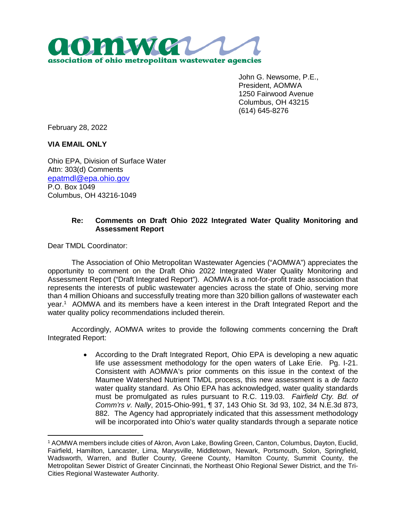

John G. Newsome, P.E., President, AOMWA 1250 Fairwood Avenue Columbus, OH 43215 (614) 645-8276

February 28, 2022

**VIA EMAIL ONLY**

Ohio EPA, Division of Surface Water Attn: 303(d) Comments [epatmdl@epa.ohio.gov](mailto:epatmdl@epa.ohio.gov) P.O. Box 1049 Columbus, OH 43216-1049

## **Re: Comments on Draft Ohio 2022 Integrated Water Quality Monitoring and Assessment Report**

Dear TMDL Coordinator:

 $\overline{a}$ 

The Association of Ohio Metropolitan Wastewater Agencies ("AOMWA") appreciates the opportunity to comment on the Draft Ohio 2022 Integrated Water Quality Monitoring and Assessment Report ("Draft Integrated Report"). AOMWA is a not-for-profit trade association that represents the interests of public wastewater agencies across the state of Ohio, serving more than 4 million Ohioans and successfully treating more than 320 billion gallons of wastewater each year.<sup>1</sup> AOMWA and its members have a keen interest in the Draft Integrated Report and the water quality policy recommendations included therein.

Accordingly, AOMWA writes to provide the following comments concerning the Draft Integrated Report:

> According to the Draft Integrated Report, Ohio EPA is developing a new aquatic life use assessment methodology for the open waters of Lake Erie. Pg. I-21. Consistent with AOMWA's prior comments on this issue in the context of the Maumee Watershed Nutrient TMDL process, this new assessment is a *de facto* water quality standard. As Ohio EPA has acknowledged, water quality standards must be promulgated as rules pursuant to R.C. 119.03. *Fairfield Cty. Bd. of Comm'rs v. Nally*, 2015-Ohio-991, ¶ 37, 143 Ohio St. 3d 93, 102, 34 N.E.3d 873, 882. The Agency had appropriately indicated that this assessment methodology will be incorporated into Ohio's water quality standards through a separate notice

<sup>1</sup> AOMWA members include cities of Akron, Avon Lake, Bowling Green, Canton, Columbus, Dayton, Euclid, Fairfield, Hamilton, Lancaster, Lima, Marysville, Middletown, Newark, Portsmouth, Solon, Springfield, Wadsworth, Warren, and Butler County, Greene County, Hamilton County, Summit County, the Metropolitan Sewer District of Greater Cincinnati, the Northeast Ohio Regional Sewer District, and the Tri-Cities Regional Wastewater Authority.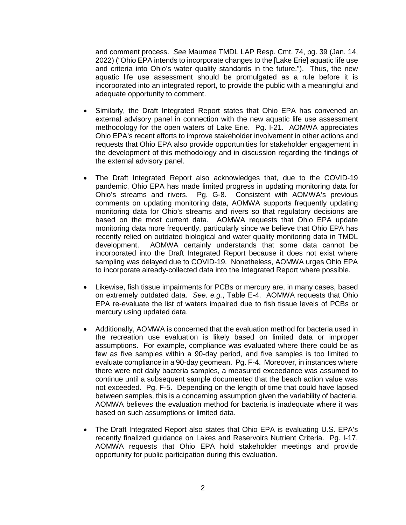and comment process. *See* Maumee TMDL LAP Resp. Cmt. 74, pg. 39 (Jan. 14, 2022) ("Ohio EPA intends to incorporate changes to the [Lake Erie] aquatic life use and criteria into Ohio's water quality standards in the future."). Thus, the new aquatic life use assessment should be promulgated as a rule before it is incorporated into an integrated report, to provide the public with a meaningful and adequate opportunity to comment.

- Similarly, the Draft Integrated Report states that Ohio EPA has convened an external advisory panel in connection with the new aquatic life use assessment methodology for the open waters of Lake Erie. Pg. I-21. AOMWA appreciates Ohio EPA's recent efforts to improve stakeholder involvement in other actions and requests that Ohio EPA also provide opportunities for stakeholder engagement in the development of this methodology and in discussion regarding the findings of the external advisory panel.
- The Draft Integrated Report also acknowledges that, due to the COVID-19 pandemic, Ohio EPA has made limited progress in updating monitoring data for Ohio's streams and rivers. Pg. G-8. Consistent with AOMWA's previous comments on updating monitoring data, AOMWA supports frequently updating monitoring data for Ohio's streams and rivers so that regulatory decisions are based on the most current data. AOMWA requests that Ohio EPA update monitoring data more frequently, particularly since we believe that Ohio EPA has recently relied on outdated biological and water quality monitoring data in TMDL development. AOMWA certainly understands that some data cannot be incorporated into the Draft Integrated Report because it does not exist where sampling was delayed due to COVID-19. Nonetheless, AOMWA urges Ohio EPA to incorporate already-collected data into the Integrated Report where possible.
- Likewise, fish tissue impairments for PCBs or mercury are, in many cases, based on extremely outdated data. *See, e.g.*, Table E-4. AOMWA requests that Ohio EPA re-evaluate the list of waters impaired due to fish tissue levels of PCBs or mercury using updated data.
- Additionally, AOMWA is concerned that the evaluation method for bacteria used in the recreation use evaluation is likely based on limited data or improper assumptions. For example, compliance was evaluated where there could be as few as five samples within a 90-day period, and five samples is too limited to evaluate compliance in a 90-day geomean. Pg. F-4. Moreover, in instances where there were not daily bacteria samples, a measured exceedance was assumed to continue until a subsequent sample documented that the beach action value was not exceeded. Pg. F-5. Depending on the length of time that could have lapsed between samples, this is a concerning assumption given the variability of bacteria. AOMWA believes the evaluation method for bacteria is inadequate where it was based on such assumptions or limited data.
- The Draft Integrated Report also states that Ohio EPA is evaluating U.S. EPA's recently finalized guidance on Lakes and Reservoirs Nutrient Criteria. Pg. I-17. AOMWA requests that Ohio EPA hold stakeholder meetings and provide opportunity for public participation during this evaluation.